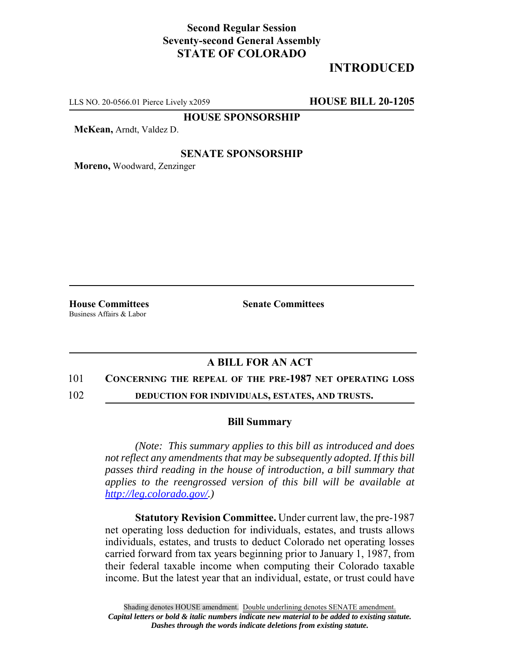## **Second Regular Session Seventy-second General Assembly STATE OF COLORADO**

# **INTRODUCED**

LLS NO. 20-0566.01 Pierce Lively x2059 **HOUSE BILL 20-1205**

**HOUSE SPONSORSHIP**

**McKean,** Arndt, Valdez D.

### **SENATE SPONSORSHIP**

**Moreno,** Woodward, Zenzinger

Business Affairs & Labor

**House Committees Senate Committees** 

## **A BILL FOR AN ACT**

#### 101 **CONCERNING THE REPEAL OF THE PRE-1987 NET OPERATING LOSS**

102 **DEDUCTION FOR INDIVIDUALS, ESTATES, AND TRUSTS.**

#### **Bill Summary**

*(Note: This summary applies to this bill as introduced and does not reflect any amendments that may be subsequently adopted. If this bill passes third reading in the house of introduction, a bill summary that applies to the reengrossed version of this bill will be available at http://leg.colorado.gov/.)*

**Statutory Revision Committee.** Under current law, the pre-1987 net operating loss deduction for individuals, estates, and trusts allows individuals, estates, and trusts to deduct Colorado net operating losses carried forward from tax years beginning prior to January 1, 1987, from their federal taxable income when computing their Colorado taxable income. But the latest year that an individual, estate, or trust could have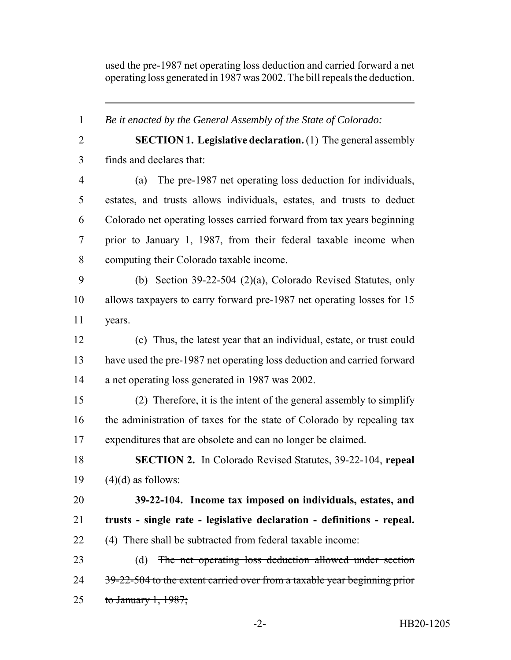used the pre-1987 net operating loss deduction and carried forward a net operating loss generated in 1987 was 2002. The bill repeals the deduction.

 *Be it enacted by the General Assembly of the State of Colorado:* **SECTION 1. Legislative declaration.** (1) The general assembly finds and declares that: (a) The pre-1987 net operating loss deduction for individuals, estates, and trusts allows individuals, estates, and trusts to deduct Colorado net operating losses carried forward from tax years beginning prior to January 1, 1987, from their federal taxable income when computing their Colorado taxable income. (b) Section 39-22-504 (2)(a), Colorado Revised Statutes, only allows taxpayers to carry forward pre-1987 net operating losses for 15 years. (c) Thus, the latest year that an individual, estate, or trust could have used the pre-1987 net operating loss deduction and carried forward a net operating loss generated in 1987 was 2002. (2) Therefore, it is the intent of the general assembly to simplify the administration of taxes for the state of Colorado by repealing tax expenditures that are obsolete and can no longer be claimed. **SECTION 2.** In Colorado Revised Statutes, 39-22-104, **repeal**  $(4)(d)$  as follows: **39-22-104. Income tax imposed on individuals, estates, and trusts - single rate - legislative declaration - definitions - repeal.** (4) There shall be subtracted from federal taxable income: (d) The net operating loss deduction allowed under section 24 39-22-504 to the extent carried over from a taxable year beginning prior 25 to January 1, ;